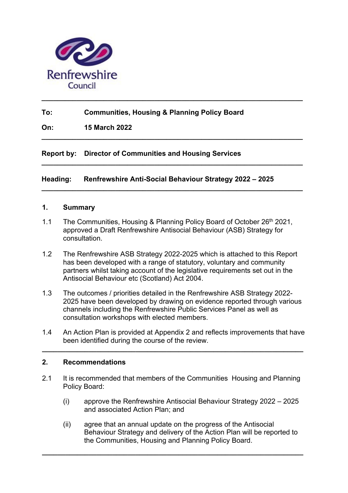

#### **To: Communities, Housing & Planning Policy Board**

**On: 15 March 2022**

#### **Report by: Director of Communities and Housing Services**

**Heading: Renfrewshire Anti-Social Behaviour Strategy 2022 – 2025**

**\_\_\_\_\_\_\_\_\_\_\_\_\_\_\_\_\_\_\_\_\_\_\_\_\_\_\_\_\_\_\_\_\_\_\_\_\_\_\_\_\_\_\_\_\_\_\_\_\_\_\_\_\_\_\_\_\_\_\_\_\_\_\_\_\_\_\_** 

**\_\_\_\_\_\_\_\_\_\_\_\_\_\_\_\_\_\_\_\_\_\_\_\_\_\_\_\_\_\_\_\_\_\_\_\_\_\_\_\_\_\_\_\_\_\_\_\_\_\_\_\_\_\_\_\_\_\_\_\_\_\_\_\_\_\_\_** 

**\_\_\_\_\_\_\_\_\_\_\_\_\_\_\_\_\_\_\_\_\_\_\_\_\_\_\_\_\_\_\_\_\_\_\_\_\_\_\_\_\_\_\_\_\_\_\_\_\_\_\_\_\_\_\_\_\_\_\_\_\_\_\_\_\_\_\_** 

**\_\_\_\_\_\_\_\_\_\_\_\_\_\_\_\_\_\_\_\_\_\_\_\_\_\_\_\_\_\_\_\_\_\_\_\_\_\_\_\_\_\_\_\_\_\_\_\_\_\_\_\_\_\_\_\_\_\_\_\_\_\_\_\_\_\_\_** 

#### **1. Summary**

- 1.1 The Communities, Housing & Planning Policy Board of October 26<sup>th</sup> 2021, approved a Draft Renfrewshire Antisocial Behaviour (ASB) Strategy for consultation.
- 1.2 The Renfrewshire ASB Strategy 2022-2025 which is attached to this Report has been developed with a range of statutory, voluntary and community partners whilst taking account of the legislative requirements set out in the Antisocial Behaviour etc (Scotland) Act 2004.
- 1.3 The outcomes / priorities detailed in the Renfrewshire ASB Strategy 2022- 2025 have been developed by drawing on evidence reported through various channels including the Renfrewshire Public Services Panel as well as consultation workshops with elected members.
- 1.4 An Action Plan is provided at Appendix 2 and reflects improvements that have been identified during the course of the review.

**\_\_\_\_\_\_\_\_\_\_\_\_\_\_\_\_\_\_\_\_\_\_\_\_\_\_\_\_\_\_\_\_\_\_\_\_\_\_\_\_\_\_\_\_\_\_\_\_\_\_\_\_\_\_\_\_\_\_\_\_\_\_\_\_\_\_\_** 

#### **2. Recommendations**

- 2.1 It is recommended that members of the Communities Housing and Planning Policy Board:
	- (i) approve the Renfrewshire Antisocial Behaviour Strategy 2022 2025 and associated Action Plan; and
	- (ii) agree that an annual update on the progress of the Antisocial Behaviour Strategy and delivery of the Action Plan will be reported to the Communities, Housing and Planning Policy Board.

**\_\_\_\_\_\_\_\_\_\_\_\_\_\_\_\_\_\_\_\_\_\_\_\_\_\_\_\_\_\_\_\_\_\_\_\_\_\_\_\_\_\_\_\_\_\_\_\_\_\_\_\_\_\_\_\_\_\_\_\_\_\_\_\_\_\_\_**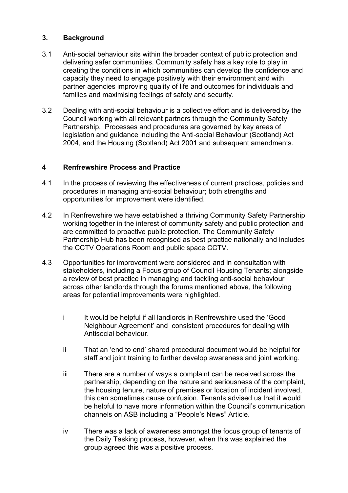#### **3. Background**

- 3.1 Anti-social behaviour sits within the broader context of public protection and delivering safer communities. Community safety has a key role to play in creating the conditions in which communities can develop the confidence and capacity they need to engage positively with their environment and with partner agencies improving quality of life and outcomes for individuals and families and maximising feelings of safety and security.
- 3.2 Dealing with anti-social behaviour is a collective effort and is delivered by the Council working with all relevant partners through the Community Safety Partnership. Processes and procedures are governed by key areas of legislation and guidance including the Anti-social Behaviour (Scotland) Act 2004, and the Housing (Scotland) Act 2001 and subsequent amendments.

#### **4 Renfrewshire Process and Practice**

- 4.1 In the process of reviewing the effectiveness of current practices, policies and procedures in managing anti-social behaviour; both strengths and opportunities for improvement were identified.
- 4.2 In Renfrewshire we have established a thriving Community Safety Partnership working together in the interest of community safety and public protection and are committed to proactive public protection. The Community Safety Partnership Hub has been recognised as best practice nationally and includes the CCTV Operations Room and public space CCTV.
- 4.3 Opportunities for improvement were considered and in consultation with stakeholders, including a Focus group of Council Housing Tenants; alongside a review of best practice in managing and tackling anti-social behaviour across other landlords through the forums mentioned above, the following areas for potential improvements were highlighted.
	- i It would be helpful if all landlords in Renfrewshire used the 'Good Neighbour Agreement' and consistent procedures for dealing with Antisocial behaviour.
	- ii That an 'end to end' shared procedural document would be helpful for staff and joint training to further develop awareness and joint working.
	- iii There are a number of ways a complaint can be received across the partnership, depending on the nature and seriousness of the complaint, the housing tenure, nature of premises or location of incident involved, this can sometimes cause confusion. Tenants advised us that it would be helpful to have more information within the Council's communication channels on ASB including a "People's News" Article.
	- iv There was a lack of awareness amongst the focus group of tenants of the Daily Tasking process, however, when this was explained the group agreed this was a positive process.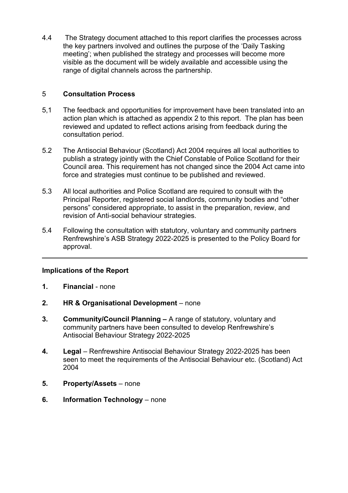4.4 The Strategy document attached to this report clarifies the processes across the key partners involved and outlines the purpose of the 'Daily Tasking meeting'; when published the strategy and processes will become more visible as the document will be widely available and accessible using the range of digital channels across the partnership.

#### 5 **Consultation Process**

- 5,1 The feedback and opportunities for improvement have been translated into an action plan which is attached as appendix 2 to this report. The plan has been reviewed and updated to reflect actions arising from feedback during the consultation period.
- 5.2 The Antisocial Behaviour (Scotland) Act 2004 requires all local authorities to publish a strategy jointly with the Chief Constable of Police Scotland for their Council area. This requirement has not changed since the 2004 Act came into force and strategies must continue to be published and reviewed.
- 5.3 All local authorities and Police Scotland are required to consult with the Principal Reporter, registered social landlords, community bodies and "other persons" considered appropriate, to assist in the preparation, review, and revision of Anti-social behaviour strategies.
- 5.4 Following the consultation with statutory, voluntary and community partners Renfrewshire's ASB Strategy 2022-2025 is presented to the Policy Board for approval.

### **Implications of the Report**

- **1. Financial** none
- **2. HR & Organisational Development** none
- **3. Community/Council Planning** A range of statutory, voluntary and community partners have been consulted to develop Renfrewshire's Antisocial Behaviour Strategy 2022-2025
- **4. Legal** Renfrewshire Antisocial Behaviour Strategy 2022-2025 has been seen to meet the requirements of the Antisocial Behaviour etc. (Scotland) Act 2004
- **5. Property/Assets** none
- **6. Information Technology** none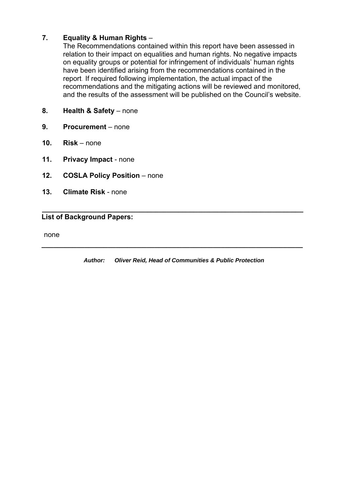#### **7. Equality & Human Rights** –

The Recommendations contained within this report have been assessed in relation to their impact on equalities and human rights. No negative impacts on equality groups or potential for infringement of individuals' human rights have been identified arising from the recommendations contained in the report. If required following implementation, the actual impact of the recommendations and the mitigating actions will be reviewed and monitored, and the results of the assessment will be published on the Council's website.

- **8. Health & Safety** none
- **9. Procurement** none
- **10. Risk** none
- **11. Privacy Impact** none
- **12. COSLA Policy Position** none
- **13. Climate Risk** none

**List of Background Papers:** 

none

*Author: Oliver Reid, Head of Communities & Public Protection* 

**\_\_\_\_\_\_\_\_\_\_\_\_\_\_\_\_\_\_\_\_\_\_\_\_\_\_\_\_\_\_\_\_\_\_\_\_\_\_\_\_\_\_\_\_\_\_\_\_\_\_\_\_\_\_\_\_\_\_\_\_\_\_\_\_\_\_\_** 

**\_\_\_\_\_\_\_\_\_\_\_\_\_\_\_\_\_\_\_\_\_\_\_\_\_\_\_\_\_\_\_\_\_\_\_\_\_\_\_\_\_\_\_\_\_\_\_\_\_\_\_\_\_\_\_\_\_\_\_\_\_\_\_\_\_\_\_**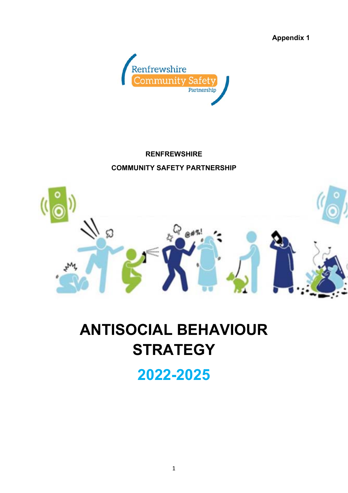**Appendix 1** 



# **RENFREWSHIRE COMMUNITY SAFETY PARTNERSHIP**



# **ANTISOCIAL BEHAVIOUR STRATEGY**

**2022-2025**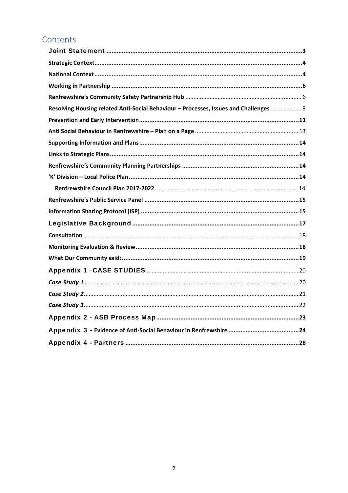# Contents

| Resolving Housing related Anti-Social Behaviour - Processes, Issues and Challenges  8 |
|---------------------------------------------------------------------------------------|
|                                                                                       |
|                                                                                       |
|                                                                                       |
|                                                                                       |
|                                                                                       |
|                                                                                       |
|                                                                                       |
|                                                                                       |
|                                                                                       |
|                                                                                       |
|                                                                                       |
|                                                                                       |
|                                                                                       |
|                                                                                       |
|                                                                                       |
|                                                                                       |
|                                                                                       |
|                                                                                       |
|                                                                                       |
|                                                                                       |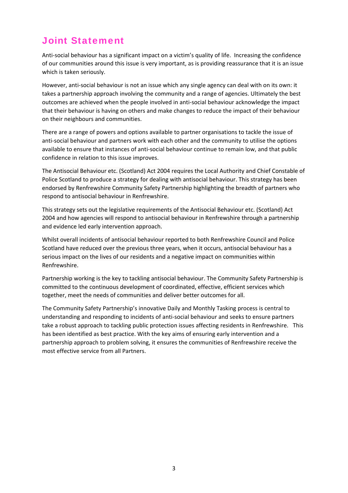# Joint Statement

Anti-social behaviour has a significant impact on a victim's quality of life. Increasing the confidence of our communities around this issue is very important, as is providing reassurance that it is an issue which is taken seriously.

However, anti-social behaviour is not an issue which any single agency can deal with on its own: it takes a partnership approach involving the community and a range of agencies. Ultimately the best outcomes are achieved when the people involved in anti‐social behaviour acknowledge the impact that their behaviour is having on others and make changes to reduce the impact of their behaviour on their neighbours and communities.

There are a range of powers and options available to partner organisations to tackle the issue of anti‐social behaviour and partners work with each other and the community to utilise the options available to ensure that instances of anti‐social behaviour continue to remain low, and that public confidence in relation to this issue improves.

The Antisocial Behaviour etc. (Scotland) Act 2004 requires the Local Authority and Chief Constable of Police Scotland to produce a strategy for dealing with antisocial behaviour. This strategy has been endorsed by Renfrewshire Community Safety Partnership highlighting the breadth of partners who respond to antisocial behaviour in Renfrewshire.

This strategy sets out the legislative requirements of the Antisocial Behaviour etc. (Scotland) Act 2004 and how agencies will respond to antisocial behaviour in Renfrewshire through a partnership and evidence led early intervention approach.

Whilst overall incidents of antisocial behaviour reported to both Renfrewshire Council and Police Scotland have reduced over the previous three years, when it occurs, antisocial behaviour has a serious impact on the lives of our residents and a negative impact on communities within Renfrewshire.

Partnership working is the key to tackling antisocial behaviour. The Community Safety Partnership is committed to the continuous development of coordinated, effective, efficient services which together, meet the needs of communities and deliver better outcomes for all.

The Community Safety Partnership's innovative Daily and Monthly Tasking process is central to understanding and responding to incidents of anti‐social behaviour and seeks to ensure partners take a robust approach to tackling public protection issues affecting residents in Renfrewshire. This has been identified as best practice. With the key aims of ensuring early intervention and a partnership approach to problem solving, it ensures the communities of Renfrewshire receive the most effective service from all Partners.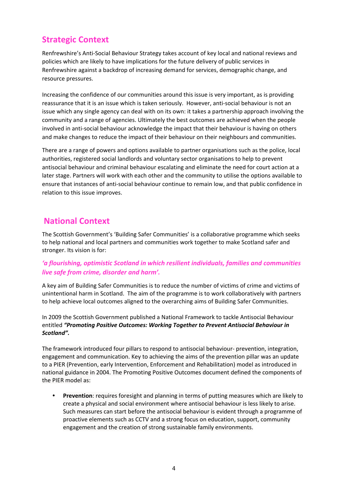# **Strategic Context**

Renfrewshire's Anti‐Social Behaviour Strategy takes account of key local and national reviews and policies which are likely to have implications for the future delivery of public services in Renfrewshire against a backdrop of increasing demand for services, demographic change, and resource pressures.

Increasing the confidence of our communities around this issue is very important, as is providing reassurance that it is an issue which is taken seriously. However, anti‐social behaviour is not an issue which any single agency can deal with on its own: it takes a partnership approach involving the community and a range of agencies. Ultimately the best outcomes are achieved when the people involved in anti‐social behaviour acknowledge the impact that their behaviour is having on others and make changes to reduce the impact of their behaviour on their neighbours and communities.

There are a range of powers and options available to partner organisations such as the police, local authorities, registered social landlords and voluntary sector organisations to help to prevent antisocial behaviour and criminal behaviour escalating and eliminate the need for court action at a later stage. Partners will work with each other and the community to utilise the options available to ensure that instances of anti‐social behaviour continue to remain low, and that public confidence in relation to this issue improves.

## **National Context**

The Scottish Government's 'Building Safer Communities' is a collaborative programme which seeks to help national and local partners and communities work together to make Scotland safer and stronger. Its vision is for:

#### *'a flourishing, optimistic Scotland in which resilient individuals, families and communities live safe from crime, disorder and harm'.*

A key aim of Building Safer Communities is to reduce the number of victims of crime and victims of unintentional harm in Scotland. The aim of the programme is to work collaboratively with partners to help achieve local outcomes aligned to the overarching aims of Building Safer Communities.

In 2009 the Scottish Government published a National Framework to tackle Antisocial Behaviour entitled *"Promoting Positive Outcomes: Working Together to Prevent Antisocial Behaviour in Scotland".*

The framework introduced four pillars to respond to antisocial behaviour‐ prevention, integration, engagement and communication. Key to achieving the aims of the prevention pillar was an update to a PIER (Prevention, early Intervention, Enforcement and Rehabilitation) model as introduced in national guidance in 2004. The Promoting Positive Outcomes document defined the components of the PIER model as:

**• Prevention**: requires foresight and planning in terms of putting measures which are likely to create a physical and social environment where antisocial behaviour is less likely to arise. Such measures can start before the antisocial behaviour is evident through a programme of proactive elements such as CCTV and a strong focus on education, support, community engagement and the creation of strong sustainable family environments.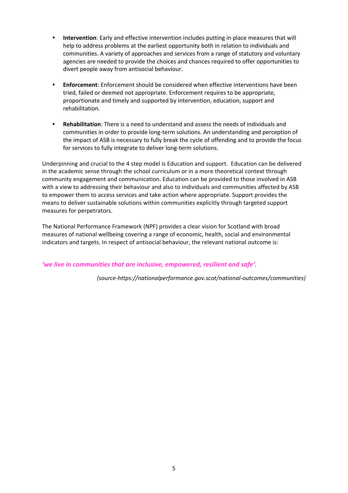- **Intervention**: Early and effective intervention includes putting in place measures that will help to address problems at the earliest opportunity both in relation to individuals and communities. A variety of approaches and services from a range of statutory and voluntary agencies are needed to provide the choices and chances required to offer opportunities to divert people away from antisocial behaviour.
- **Enforcement**: Enforcement should be considered when effective interventions have been tried, failed or deemed not appropriate. Enforcement requires to be appropriate, proportionate and timely and supported by intervention, education, support and rehabilitation.
- **Rehabilitation**: There is a need to understand and assess the needs of individuals and communities in order to provide long‐term solutions. An understanding and perception of the impact of ASB is necessary to fully break the cycle of offending and to provide the focus for services to fully integrate to deliver long‐term solutions.

Underpinning and crucial to the 4 step model is Education and support. Education can be delivered in the academic sense through the school curriculum or in a more theoretical context through community engagement and communication. Education can be provided to those involved in ASB with a view to addressing their behaviour and also to individuals and communities affected by ASB to empower them to access services and take action where appropriate. Support provides the means to deliver sustainable solutions within communities explicitly through targeted support measures for perpetrators.

The National Performance Framework (NPF) provides a clear vision for Scotland with broad measures of national wellbeing covering a range of economic, health, social and environmental indicators and targets. In respect of antisocial behaviour, the relevant national outcome is:

*'we live in communities that are inclusive, empowered, resilient and safe'.* 

*(source‐https://nationalperformance.gov.scot/national‐outcomes/communities)*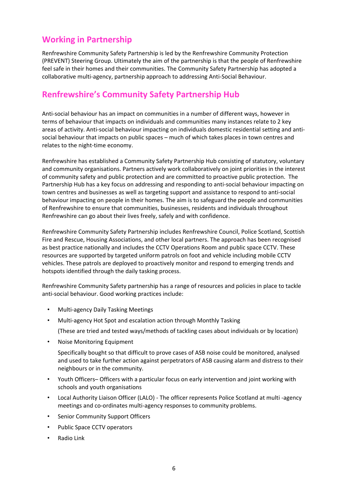# **Working in Partnership**

Renfrewshire Community Safety Partnership is led by the Renfrewshire Community Protection (PREVENT) Steering Group. Ultimately the aim of the partnership is that the people of Renfrewshire feel safe in their homes and their communities. The Community Safety Partnership has adopted a collaborative multi‐agency, partnership approach to addressing Anti‐Social Behaviour.

# **Renfrewshire's Community Safety Partnership Hub**

Anti-social behaviour has an impact on communities in a number of different ways, however in terms of behaviour that impacts on individuals and communities many instances relate to 2 key areas of activity. Anti-social behaviour impacting on individuals domestic residential setting and antisocial behaviour that impacts on public spaces – much of which takes places in town centres and relates to the night-time economy.

Renfrewshire has established a Community Safety Partnership Hub consisting of statutory, voluntary and community organisations. Partners actively work collaboratively on joint priorities in the interest of community safety and public protection and are committed to proactive public protection. The Partnership Hub has a key focus on addressing and responding to anti‐social behaviour impacting on town centres and businesses as well as targeting support and assistance to respond to anti‐social behaviour impacting on people in their homes. The aim is to safeguard the people and communities of Renfrewshire to ensure that communities, businesses, residents and individuals throughout Renfrewshire can go about their lives freely, safely and with confidence.

Renfrewshire Community Safety Partnership includes Renfrewshire Council, Police Scotland, Scottish Fire and Rescue, Housing Associations, and other local partners. The approach has been recognised as best practice nationally and includes the CCTV Operations Room and public space CCTV. These resources are supported by targeted uniform patrols on foot and vehicle including mobile CCTV vehicles. These patrols are deployed to proactively monitor and respond to emerging trends and hotspots identified through the daily tasking process.

Renfrewshire Community Safety partnership has a range of resources and policies in place to tackle anti‐social behaviour. Good working practices include:

- Multi-agency Daily Tasking Meetings
- Multi‐agency Hot Spot and escalation action through Monthly Tasking

(These are tried and tested ways/methods of tackling cases about individuals or by location)

• Noise Monitoring Equipment

Specifically bought so that difficult to prove cases of ASB noise could be monitored, analysed and used to take further action against perpetrators of ASB causing alarm and distress to their neighbours or in the community.

- Youth Officers– Officers with a particular focus on early intervention and joint working with schools and youth organisations
- Local Authority Liaison Officer (LALO) ‐ The officer represents Police Scotland at multi ‐agency meetings and co-ordinates multi-agency responses to community problems.
- Senior Community Support Officers
- Public Space CCTV operators
- Radio Link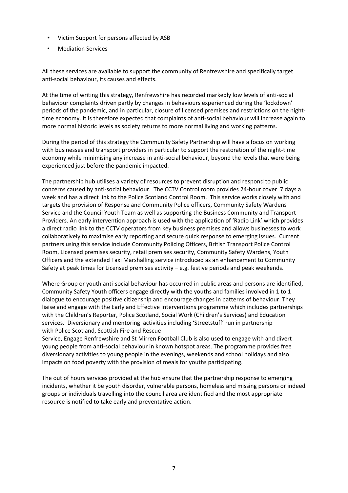- Victim Support for persons affected by ASB
- Mediation Services

All these services are available to support the community of Renfrewshire and specifically target anti‐social behaviour, its causes and effects.

At the time of writing this strategy, Renfrewshire has recorded markedly low levels of anti‐social behaviour complaints driven partly by changes in behaviours experienced during the 'lockdown' periods of the pandemic, and in particular, closure of licensed premises and restrictions on the nighttime economy. It is therefore expected that complaints of anti‐social behaviour will increase again to more normal historic levels as society returns to more normal living and working patterns.

During the period of this strategy the Community Safety Partnership will have a focus on working with businesses and transport providers in particular to support the restoration of the night-time economy while minimising any increase in anti‐social behaviour, beyond the levels that were being experienced just before the pandemic impacted.

The partnership hub utilises a variety of resources to prevent disruption and respond to public concerns caused by anti‐social behaviour. The CCTV Control room provides 24‐hour cover 7 days a week and has a direct link to the Police Scotland Control Room. This service works closely with and targets the provision of Response and Community Police officers, Community Safety Wardens Service and the Council Youth Team as well as supporting the Business Community and Transport Providers. An early intervention approach is used with the application of 'Radio Link' which provides a direct radio link to the CCTV operators from key business premises and allows businesses to work collaboratively to maximise early reporting and secure quick response to emerging issues. Current partners using this service include Community Policing Officers, British Transport Police Control Room, Licensed premises security, retail premises security, Community Safety Wardens, Youth Officers and the extended Taxi Marshalling service introduced as an enhancement to Community Safety at peak times for Licensed premises activity  $-e.g.$  festive periods and peak weekends.

Where Group or youth anti‐social behaviour has occurred in public areas and persons are identified, Community Safety Youth officers engage directly with the youths and families involved in 1 to 1 dialogue to encourage positive citizenship and encourage changes in patterns of behaviour. They liaise and engage with the Early and Effective Interventions programme which includes partnerships with the Children's Reporter, Police Scotland, Social Work (Children's Services) and Education services. Diversionary and mentoring activities including 'Streetstuff' run in partnership with Police Scotland, Scottish Fire and Rescue

Service, Engage Renfrewshire and St Mirren Football Club is also used to engage with and divert young people from anti‐social behaviour in known hotspot areas. The programme provides free diversionary activities to young people in the evenings, weekends and school holidays and also impacts on food poverty with the provision of meals for youths participating.

The out of hours services provided at the hub ensure that the partnership response to emerging incidents, whether it be youth disorder, vulnerable persons, homeless and missing persons or indeed groups or individuals travelling into the council area are identified and the most appropriate resource is notified to take early and preventative action.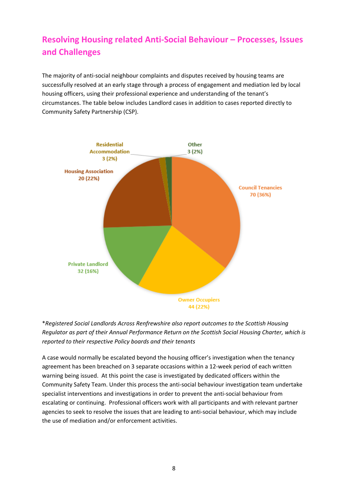# **Resolving Housing related Anti‐Social Behaviour – Processes, Issues and Challenges**

The majority of anti‐social neighbour complaints and disputes received by housing teams are successfully resolved at an early stage through a process of engagement and mediation led by local housing officers, using their professional experience and understanding of the tenant's circumstances. The table below includes Landlord cases in addition to cases reported directly to Community Safety Partnership (CSP).



\**Registered Social Landlords Across Renfrewshire also report outcomes to the Scottish Housing Regulator as part of their Annual Performance Return on the Scottish Social Housing Charter, which is reported to their respective Policy boards and their tenants*

A case would normally be escalated beyond the housing officer's investigation when the tenancy agreement has been breached on 3 separate occasions within a 12-week period of each written warning being issued. At this point the case is investigated by dedicated officers within the Community Safety Team. Under this process the anti‐social behaviour investigation team undertake specialist interventions and investigations in order to prevent the anti-social behaviour from escalating or continuing. Professional officers work with all participants and with relevant partner agencies to seek to resolve the issues that are leading to anti‐social behaviour, which may include the use of mediation and/or enforcement activities.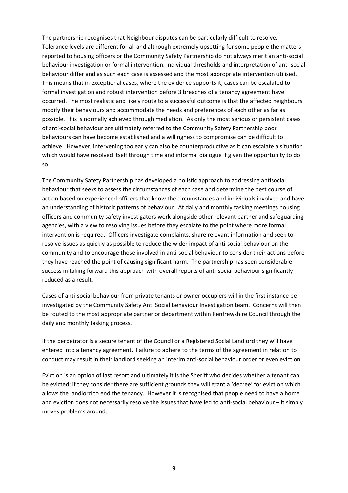The partnership recognises that Neighbour disputes can be particularly difficult to resolve. Tolerance levels are different for all and although extremely upsetting for some people the matters reported to housing officers or the Community Safety Partnership do not always merit an anti‐social behaviour investigation or formal intervention. Individual thresholds and interpretation of anti‐social behaviour differ and as such each case is assessed and the most appropriate intervention utilised. This means that in exceptional cases, where the evidence supports it, cases can be escalated to formal investigation and robust intervention before 3 breaches of a tenancy agreement have occurred. The most realistic and likely route to a successful outcome is that the affected neighbours modify their behaviours and accommodate the needs and preferences of each other as far as possible. This is normally achieved through mediation. As only the most serious or persistent cases of anti‐social behaviour are ultimately referred to the Community Safety Partnership poor behaviours can have become established and a willingness to compromise can be difficult to achieve. However, intervening too early can also be counterproductive as it can escalate a situation which would have resolved itself through time and informal dialogue if given the opportunity to do so.

The Community Safety Partnership has developed a holistic approach to addressing antisocial behaviour that seeks to assess the circumstances of each case and determine the best course of action based on experienced officers that know the circumstances and individuals involved and have an understanding of historic patterns of behaviour. At daily and monthly tasking meetings housing officers and community safety investigators work alongside other relevant partner and safeguarding agencies, with a view to resolving issues before they escalate to the point where more formal intervention is required. Officers investigate complaints, share relevant information and seek to resolve issues as quickly as possible to reduce the wider impact of anti‐social behaviour on the community and to encourage those involved in anti‐social behaviour to consider their actions before they have reached the point of causing significant harm. The partnership has seen considerable success in taking forward this approach with overall reports of anti-social behaviour significantly reduced as a result.

Cases of anti‐social behaviour from private tenants or owner occupiers will in the first instance be investigated by the Community Safety Anti Social Behaviour Investigation team. Concerns will then be routed to the most appropriate partner or department within Renfrewshire Council through the daily and monthly tasking process.

If the perpetrator is a secure tenant of the Council or a Registered Social Landlord they will have entered into a tenancy agreement. Failure to adhere to the terms of the agreement in relation to conduct may result in their landlord seeking an interim anti‐social behaviour order or even eviction.

Eviction is an option of last resort and ultimately it is the Sheriff who decides whether a tenant can be evicted; if they consider there are sufficient grounds they will grant a 'decree' for eviction which allows the landlord to end the tenancy. However it is recognised that people need to have a home and eviction does not necessarily resolve the issues that have led to anti-social behaviour – it simply moves problems around.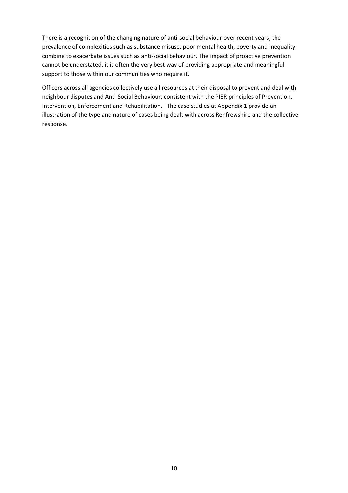There is a recognition of the changing nature of anti‐social behaviour over recent years; the prevalence of complexities such as substance misuse, poor mental health, poverty and inequality combine to exacerbate issues such as anti‐social behaviour. The impact of proactive prevention cannot be understated, it is often the very best way of providing appropriate and meaningful support to those within our communities who require it.

Officers across all agencies collectively use all resources at their disposal to prevent and deal with neighbour disputes and Anti‐Social Behaviour, consistent with the PIER principles of Prevention, Intervention, Enforcement and Rehabilitation. The case studies at Appendix 1 provide an illustration of the type and nature of cases being dealt with across Renfrewshire and the collective response.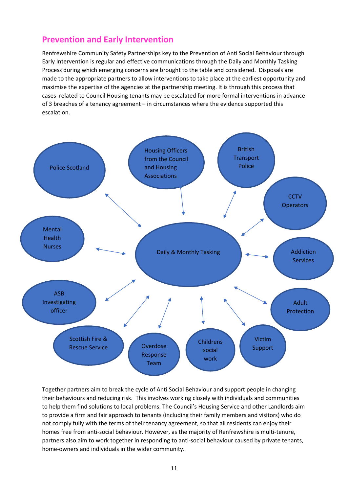### **Prevention and Early Intervention**

Renfrewshire Community Safety Partnerships key to the Prevention of Anti Social Behaviour through Early Intervention is regular and effective communications through the Daily and Monthly Tasking Process during which emerging concerns are brought to the table and considered. Disposals are made to the appropriate partners to allow interventions to take place at the earliest opportunity and maximise the expertise of the agencies at the partnership meeting. It is through this process that cases related to Council Housing tenants may be escalated for more formal interventions in advance of 3 breaches of a tenancy agreement – in circumstances where the evidence supported this escalation.



Together partners aim to break the cycle of Anti Social Behaviour and support people in changing their behaviours and reducing risk. This involves working closely with individuals and communities to help them find solutions to local problems. The Council's Housing Service and other Landlords aim to provide a firm and fair approach to tenants (including their family members and visitors) who do not comply fully with the terms of their tenancy agreement, so that all residents can enjoy their homes free from anti-social behaviour. However, as the majority of Renfrewshire is multi-tenure, partners also aim to work together in responding to anti-social behaviour caused by private tenants, home‐owners and individuals in the wider community.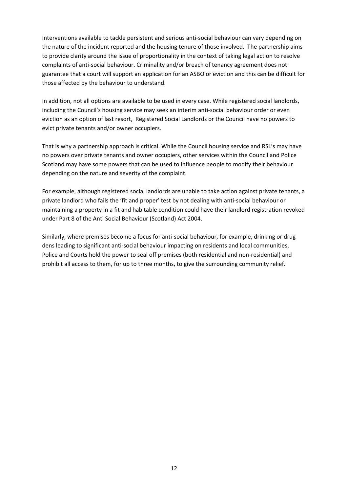Interventions available to tackle persistent and serious anti‐social behaviour can vary depending on the nature of the incident reported and the housing tenure of those involved. The partnership aims to provide clarity around the issue of proportionality in the context of taking legal action to resolve complaints of anti‐social behaviour. Criminality and/or breach of tenancy agreement does not guarantee that a court will support an application for an ASBO or eviction and this can be difficult for those affected by the behaviour to understand.

In addition, not all options are available to be used in every case. While registered social landlords, including the Council's housing service may seek an interim anti‐social behaviour order or even eviction as an option of last resort, Registered Social Landlords or the Council have no powers to evict private tenants and/or owner occupiers.

That is why a partnership approach is critical. While the Council housing service and RSL's may have no powers over private tenants and owner occupiers, other services within the Council and Police Scotland may have some powers that can be used to influence people to modify their behaviour depending on the nature and severity of the complaint.

For example, although registered social landlords are unable to take action against private tenants, a private landlord who fails the 'fit and proper' test by not dealing with anti‐social behaviour or maintaining a property in a fit and habitable condition could have their landlord registration revoked under Part 8 of the Anti Social Behaviour (Scotland) Act 2004.

Similarly, where premises become a focus for anti‐social behaviour, for example, drinking or drug dens leading to significant anti‐social behaviour impacting on residents and local communities, Police and Courts hold the power to seal off premises (both residential and non‐residential) and prohibit all access to them, for up to three months, to give the surrounding community relief.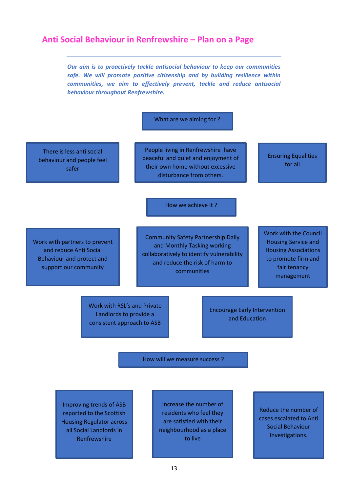#### **Anti Social Behaviour in Renfrewshire – Plan on a Page**

*Our aim is to proactively tackle antisocial behaviour to keep our communities safe. We will promote positive citizenship and by building resilience within communities, we aim to effectively prevent, tackle and reduce antisocial behaviour throughout Renfrewshire.* 

What are we aiming for ?

There is less anti social behaviour and people feel safer

People living in Renfrewshire have peaceful and quiet and enjoyment of their own home without excessive disturbance from others.

Ensuring Equalities for all

How we achieve it ?

Work with partners to prevent and reduce Anti Social Behaviour and protect and support our community

Community Safety Partnership Daily and Monthly Tasking working collaboratively to identify vulnerability and reduce the risk of harm to communities

Work with the Council Housing Service and Housing Associations to promote firm and fair tenancy management

Work with RSL's and Private Landlords to provide a consistent approach to ASB

Encourage Early Intervention and Education

How will we measure success ?

Improving trends of ASB reported to the Scottish Housing Regulator across all Social Landlords in Renfrewshire

Increase the number of residents who feel they are satisfied with their neighbourhood as a place to live

Reduce the number of cases escalated to Anti Social Behaviour Investigations.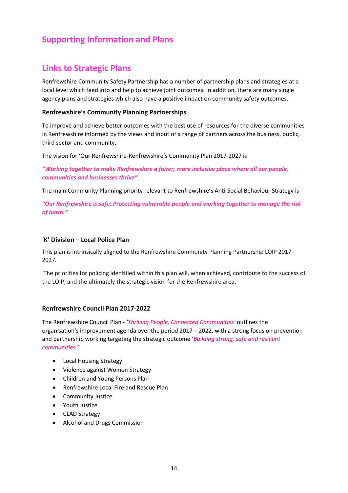# **Supporting Information and Plans**

# **Links to Strategic Plans**

Renfrewshire Community Safety Partnership has a number of partnership plans and strategies at a local level which feed into and help to achieve joint outcomes. In addition, there are many single agency plans and strategies which also have a positive impact on community safety outcomes.

#### **Renfrewshire's Community Planning Partnerships**

To improve and achieve better outcomes with the best use of resources for the diverse communities in Renfrewshire informed by the views and input of a range of partners across the business, public, third sector and community.

The vision for 'Our Renfrewshire‐Renfrewshire's Community Plan 2017‐2027 is

*"Working together to make Renfrewshire a fairer, more inclusive place where all our people, communities and businesses thrive"* 

The main Community Planning priority relevant to Renfrewshire's Anti‐Social Behaviour Strategy is

*"Our Renfrewshire is safe: Protecting vulnerable people and working together to manage the risk of harm."* 

#### '**K' Division – Local Police Plan**

This plan is intrinsically aligned to the Renfrewshire Community Planning Partnership LOIP 2017‐ 2027.

 The priorities for policing identified within this plan will, when achieved, contribute to the success of the LOIP, and the ultimately the strategic vision for the Renfrewshire area.

#### **Renfrewshire Council Plan 2017‐2022**

The Renfrewshire Council Plan ‐ *'Thriving People, Connected Communities'* outlines the organisation's improvement agenda over the period 2017 – 2022, with a strong focus on prevention and partnership working targeting the strategic outcome '*Building strong, safe and resilient communities.'*

- Local Housing Strategy
- Violence against Women Strategy
- Children and Young Persons Plan
- Renfrewshire Local Fire and Rescue Plan
- Community Justice
- Youth Justice
- CLAD Strategy
- Alcohol and Drugs Commission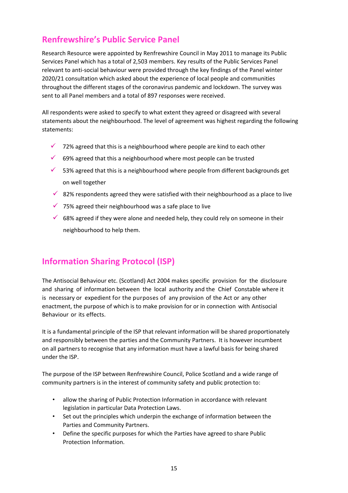# **Renfrewshire's Public Service Panel**

Research Resource were appointed by Renfrewshire Council in May 2011 to manage its Public Services Panel which has a total of 2,503 members. Key results of the Public Services Panel relevant to anti‐social behaviour were provided through the key findings of the Panel winter 2020/21 consultation which asked about the experience of local people and communities throughout the different stages of the coronavirus pandemic and lockdown. The survey was sent to all Panel members and a total of 897 responses were received.

All respondents were asked to specify to what extent they agreed or disagreed with several statements about the neighbourhood. The level of agreement was highest regarding the following statements:

- $\checkmark$  72% agreed that this is a neighbourhood where people are kind to each other
- $\checkmark$  69% agreed that this a neighbourhood where most people can be trusted
- $\checkmark$  53% agreed that this is a neighbourhood where people from different backgrounds get on well together
- $\checkmark$  82% respondents agreed they were satisfied with their neighbourhood as a place to live
- $\checkmark$  75% agreed their neighbourhood was a safe place to live
- 68% agreed if they were alone and needed help, they could rely on someone in their neighbourhood to help them.

# **Information Sharing Protocol (ISP)**

The Antisocial Behaviour etc. (Scotland) Act 2004 makes specific provision for the disclosure and sharing of information between the local authority and the Chief Constable where it is necessary or expedient for the purposes of any provision of the Act or any other enactment, the purpose of which is to make provision for or in connection with Antisocial Behaviour or its effects.

It is a fundamental principle of the ISP that relevant information will be shared proportionately and responsibly between the parties and the Community Partners. It is however incumbent on all partners to recognise that any information must have a lawful basis for being shared under the ISP.

The purpose of the ISP between Renfrewshire Council, Police Scotland and a wide range of community partners is in the interest of community safety and public protection to:

- allow the sharing of Public Protection Information in accordance with relevant legislation in particular Data Protection Laws.
- Set out the principles which underpin the exchange of information between the Parties and Community Partners.
- Define the specific purposes for which the Parties have agreed to share Public Protection Information.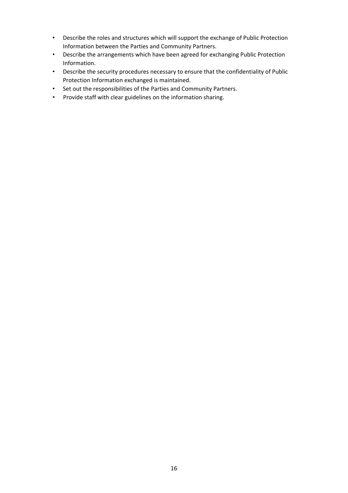- Describe the roles and structures which will support the exchange of Public Protection Information between the Parties and Community Partners.
- Describe the arrangements which have been agreed for exchanging Public Protection Information.
- Describe the security procedures necessary to ensure that the confidentiality of Public Protection Information exchanged is maintained.
- Set out the responsibilities of the Parties and Community Partners.
- Provide staff with clear guidelines on the information sharing.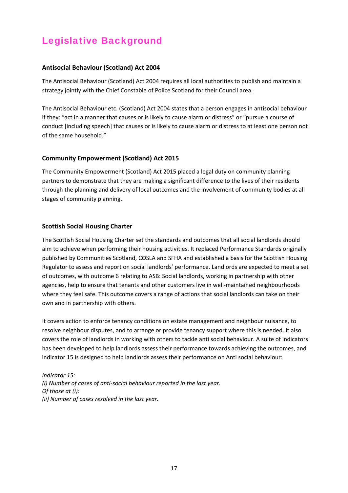# Legislative Background

#### **Antisocial Behaviour (Scotland) Act 2004**

The Antisocial Behaviour (Scotland) Act 2004 requires all local authorities to publish and maintain a strategy jointly with the Chief Constable of Police Scotland for their Council area.

The Antisocial Behaviour etc. (Scotland) Act 2004 states that a person engages in antisocial behaviour if they: "act in a manner that causes or is likely to cause alarm or distress" or "pursue a course of conduct [including speech] that causes or is likely to cause alarm or distress to at least one person not of the same household."

#### **Community Empowerment (Scotland) Act 2015**

The Community Empowerment (Scotland) Act 2015 placed a legal duty on community planning partners to demonstrate that they are making a significant difference to the lives of their residents through the planning and delivery of local outcomes and the involvement of community bodies at all stages of community planning.

#### **Scottish Social Housing Charter**

The Scottish Social Housing Charter set the standards and outcomes that all social landlords should aim to achieve when performing their housing activities. It replaced Performance Standards originally published by Communities Scotland, COSLA and SFHA and established a basis for the Scottish Housing Regulator to assess and report on social landlords' performance. Landlords are expected to meet a set of outcomes, with outcome 6 relating to ASB: Social landlords, working in partnership with other agencies, help to ensure that tenants and other customers live in well-maintained neighbourhoods where they feel safe. This outcome covers a range of actions that social landlords can take on their own and in partnership with others.

It covers action to enforce tenancy conditions on estate management and neighbour nuisance, to resolve neighbour disputes, and to arrange or provide tenancy support where this is needed. It also covers the role of landlords in working with others to tackle anti social behaviour. A suite of indicators has been developed to help landlords assess their performance towards achieving the outcomes, and indicator 15 is designed to help landlords assess their performance on Anti social behaviour:

*Indicator 15: (i) Number of cases of anti‐social behaviour reported in the last year. Of those at (i): (ii) Number of cases resolved in the last year.*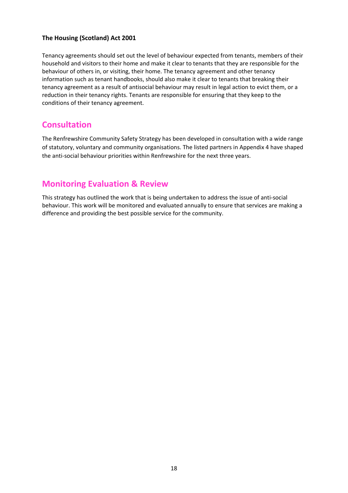#### **The Housing (Scotland) Act 2001**

Tenancy agreements should set out the level of behaviour expected from tenants, members of their household and visitors to their home and make it clear to tenants that they are responsible for the behaviour of others in, or visiting, their home. The tenancy agreement and other tenancy information such as tenant handbooks, should also make it clear to tenants that breaking their tenancy agreement as a result of antisocial behaviour may result in legal action to evict them, or a reduction in their tenancy rights. Tenants are responsible for ensuring that they keep to the conditions of their tenancy agreement.

### **Consultation**

The Renfrewshire Community Safety Strategy has been developed in consultation with a wide range of statutory, voluntary and community organisations. The listed partners in Appendix 4 have shaped the anti-social behaviour priorities within Renfrewshire for the next three years.

### **Monitoring Evaluation & Review**

This strategy has outlined the work that is being undertaken to address the issue of anti‐social behaviour. This work will be monitored and evaluated annually to ensure that services are making a difference and providing the best possible service for the community.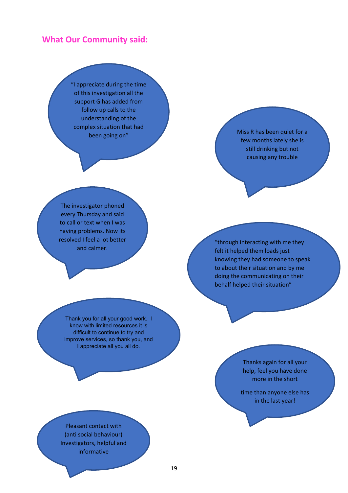#### **What Our Community said:**

"I appreciate during the time of this investigation all the support G has added from follow up calls to the understanding of the complex situation that had been going on"

Miss R has been quiet for a few months lately she is still drinking but not causing any trouble

The investigator phoned every Thursday and said to call or text when I was having problems. Now its resolved I feel a lot better and calmer.

"through interacting with me they felt it helped them loads just knowing they had someone to speak to about their situation and by me doing the communicating on their behalf helped their situation"

Thank you for all your good work. I know with limited resources it is difficult to continue to try and improve services, so thank you, and I appreciate all you all do.

> Thanks again for all your help, feel you have done more in the short

time than anyone else has in the last year!

Pleasant contact with (anti social behaviour) Investigators, helpful and informative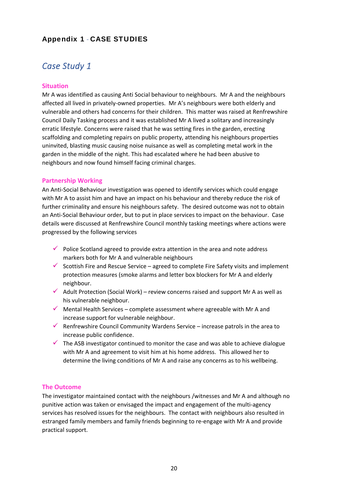#### Appendix 1 ‐ CASE STUDIES

### *Case Study 1*

#### **Situation**

Mr A was identified as causing Anti Social behaviour to neighbours. Mr A and the neighbours affected all lived in privately‐owned properties. Mr A's neighbours were both elderly and vulnerable and others had concerns for their children. This matter was raised at Renfrewshire Council Daily Tasking process and it was established Mr A lived a solitary and increasingly erratic lifestyle. Concerns were raised that he was setting fires in the garden, erecting scaffolding and completing repairs on public property, attending his neighbours properties uninvited, blasting music causing noise nuisance as well as completing metal work in the garden in the middle of the night. This had escalated where he had been abusive to neighbours and now found himself facing criminal charges.

#### **Partnership Working**

An Anti‐Social Behaviour investigation was opened to identify services which could engage with Mr A to assist him and have an impact on his behaviour and thereby reduce the risk of further criminality and ensure his neighbours safety. The desired outcome was not to obtain an Anti-Social Behaviour order, but to put in place services to impact on the behaviour. Case details were discussed at Renfrewshire Council monthly tasking meetings where actions were progressed by the following services

- $\checkmark$  Police Scotland agreed to provide extra attention in the area and note address markers both for Mr A and vulnerable neighbours
- Scottish Fire and Rescue Service agreed to complete Fire Safety visits and implement protection measures (smoke alarms and letter box blockers for Mr A and elderly neighbour.
- $\checkmark$  Adult Protection (Social Work) review concerns raised and support Mr A as well as his vulnerable neighbour.
- $\checkmark$  Mental Health Services complete assessment where agreeable with Mr A and increase support for vulnerable neighbour.
- Exemple X Renfrewshire Council Community Wardens Service increase patrols in the area to increase public confidence.
- $\checkmark$  The ASB investigator continued to monitor the case and was able to achieve dialogue with Mr A and agreement to visit him at his home address. This allowed her to determine the living conditions of Mr A and raise any concerns as to his wellbeing.

#### **The Outcome**

The investigator maintained contact with the neighbours /witnesses and Mr A and although no punitive action was taken or envisaged the impact and engagement of the multi‐agency services has resolved issues for the neighbours. The contact with neighbours also resulted in estranged family members and family friends beginning to re‐engage with Mr A and provide practical support.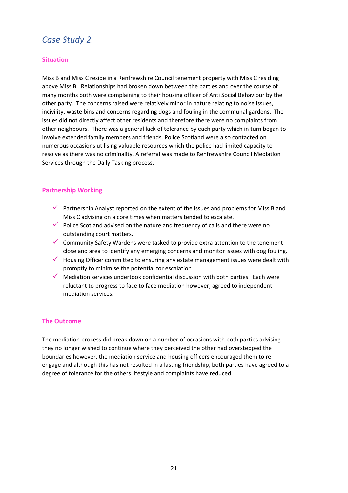# *Case Study 2*

#### **Situation**

Miss B and Miss C reside in a Renfrewshire Council tenement property with Miss C residing above Miss B. Relationships had broken down between the parties and over the course of many months both were complaining to their housing officer of Anti Social Behaviour by the other party. The concerns raised were relatively minor in nature relating to noise issues, incivility, waste bins and concerns regarding dogs and fouling in the communal gardens. The issues did not directly affect other residents and therefore there were no complaints from other neighbours. There was a general lack of tolerance by each party which in turn began to involve extended family members and friends. Police Scotland were also contacted on numerous occasions utilising valuable resources which the police had limited capacity to resolve as there was no criminality. A referral was made to Renfrewshire Council Mediation Services through the Daily Tasking process.

#### **Partnership Working**

- **Partnership Analyst reported on the extent of the issues and problems for Miss B and** Miss C advising on a core times when matters tended to escalate.
- $\checkmark$  Police Scotland advised on the nature and frequency of calls and there were no outstanding court matters.
- $\checkmark$  Community Safety Wardens were tasked to provide extra attention to the tenement close and area to identify any emerging concerns and monitor issues with dog fouling.
- $\checkmark$  Housing Officer committed to ensuring any estate management issues were dealt with promptly to minimise the potential for escalation
- $\checkmark$  Mediation services undertook confidential discussion with both parties. Each were reluctant to progress to face to face mediation however, agreed to independent mediation services.

#### **The Outcome**

The mediation process did break down on a number of occasions with both parties advising they no longer wished to continue where they perceived the other had overstepped the boundaries however, the mediation service and housing officers encouraged them to re‐ engage and although this has not resulted in a lasting friendship, both parties have agreed to a degree of tolerance for the others lifestyle and complaints have reduced.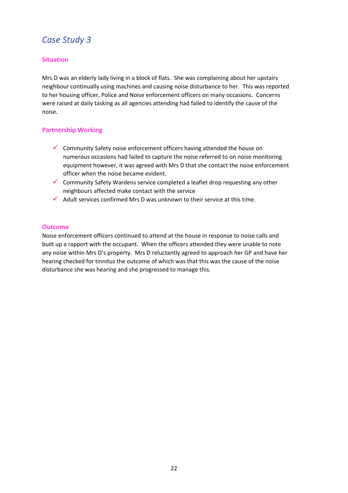# *Case Study 3*

#### **Situation**

Mrs D was an elderly lady living in a block of flats. She was complaining about her upstairs neighbour continually using machines and causing noise disturbance to her. This was reported to her housing officer, Police and Noise enforcement officers on many occasions. Concerns were raised at daily tasking as all agencies attending had failed to identify the cause of the noise.

#### **Partnership Working**

- $\checkmark$  Community Safety noise enforcement officers having attended the house on numerous occasions had failed to capture the noise referred to on noise monitoring equipment however, it was agreed with Mrs D that she contact the noise enforcement officer when the noise became evident.
- $\checkmark$  Community Safety Wardens service completed a leaflet drop requesting any other neighbours affected make contact with the service
- $\checkmark$  Adult services confirmed Mrs D was unknown to their service at this time.

#### **Outcome**

Noise enforcement officers continued to attend at the house in response to noise calls and built up a rapport with the occupant. When the officers attended they were unable to note any noise within Mrs D's property. Mrs D reluctantly agreed to approach her GP and have her hearing checked for tinnitus the outcome of which was that this was the cause of the noise disturbance she was hearing and she progressed to manage this.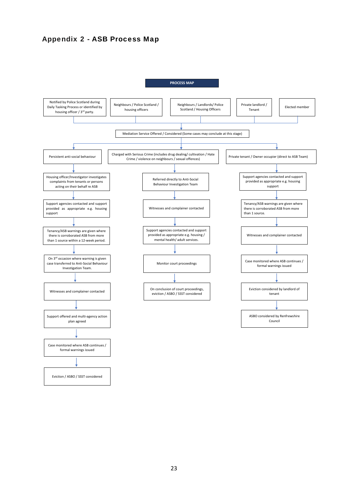#### Appendix 2 - ASB Process Map



Eviction / ASBO / SSST considered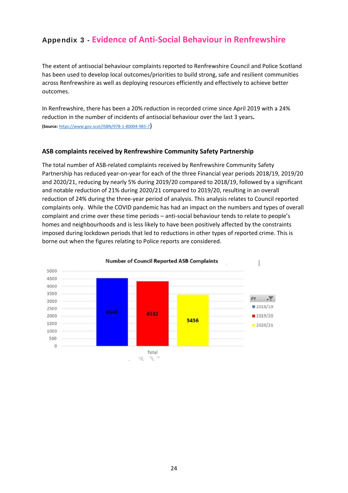### Appendix 3 - **Evidence of Anti‐Social Behaviour in Renfrewshire**

The extent of antisocial behaviour complaints reported to Renfrewshire Council and Police Scotland has been used to develop local outcomes/priorities to build strong, safe and resilient communities across Renfrewshire as well as deploying resources efficiently and effectively to achieve better outcomes.

In Renfrewshire, there has been a 20% reduction in recorded crime since April 2019 with a 24% reduction in the number of incidents of antisocial behaviour over the last 3 years**. (Source:** https://www.gov.scot/ISBN/978‐1‐80004‐985‐7)

#### **ASB complaints received by Renfrewshire Community Safety Partnership**

The total number of ASB‐related complaints received by Renfrewshire Community Safety Partnership has reduced year‐on‐year for each of the three Financial year periods 2018/19, 2019/20 and 2020/21, reducing by nearly 5% during 2019/20 compared to 2018/19, followed by a significant and notable reduction of 21% during 2020/21 compared to 2019/20, resulting in an overall reduction of 24% during the three‐year period of analysis. This analysis relates to Council reported complaints only. While the COVID pandemic has had an impact on the numbers and types of overall complaint and crime over these time periods – anti‐social behaviour tends to relate to people's homes and neighbourhoods and is less likely to have been positively affected by the constraints imposed during lockdown periods that led to reductions in other types of reported crime. This is borne out when the figures relating to Police reports are considered.

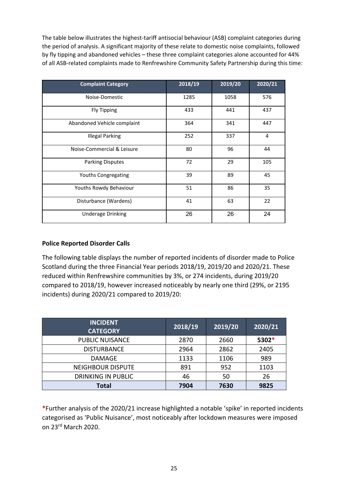The table below illustrates the highest-tariff antisocial behaviour (ASB) complaint categories during the period of analysis. A significant majority of these relate to domestic noise complaints, followed by fly tipping and abandoned vehicles – these three complaint categories alone accounted for 44% of all ASB‐related complaints made to Renfrewshire Community Safety Partnership during this time:

| <b>Complaint Category</b>   | 2018/19 | 2019/20 | 2020/21 |
|-----------------------------|---------|---------|---------|
| Noise-Domestic              | 1285    | 1058    | 576     |
| <b>Fly Tipping</b>          | 433     | 441     | 437     |
| Abandoned Vehicle complaint | 364     | 341     | 447     |
| <b>Illegal Parking</b>      | 252     | 337     | 4       |
| Noise-Commercial & Leisure  | 80      | 96      | 44      |
| <b>Parking Disputes</b>     | 72      | 29      | 105     |
| Youths Congregating         | 39      | 89      | 45      |
| Youths Rowdy Behaviour      | 51      | 86      | 35      |
| Disturbance (Wardens)       | 41      | 63      | 22      |
| <b>Underage Drinking</b>    | 26      | 26      | 24      |

#### **Police Reported Disorder Calls**

The following table displays the number of reported incidents of disorder made to Police Scotland during the three Financial Year periods 2018/19, 2019/20 and 2020/21. These reduced within Renfrewshire communities by 3%, or 274 incidents, during 2019/20 compared to 2018/19, however increased noticeably by nearly one third (29%, or 2195 incidents) during 2020/21 compared to 2019/20:

| <b>INCIDENT</b><br><b>CATEGORY</b> | 2018/19 | 2019/20 | 2020/21 |
|------------------------------------|---------|---------|---------|
| <b>PUBLIC NUISANCE</b>             | 2870    | 2660    | 5302*   |
| <b>DISTURBANCE</b>                 | 2964    | 2862    | 2405    |
| <b>DAMAGE</b>                      | 1133    | 1106    | 989     |
| <b>NEIGHBOUR DISPUTE</b>           | 891     | 952     | 1103    |
| <b>DRINKING IN PUBLIC</b>          | 46      | 50      | 26      |
| <b>Total</b>                       | 7904    | 7630    | 9825    |

**\***Further analysis of the 2020/21 increase highlighted a notable 'spike' in reported incidents categorised as 'Public Nuisance', most noticeably after lockdown measures were imposed on 23rd March 2020.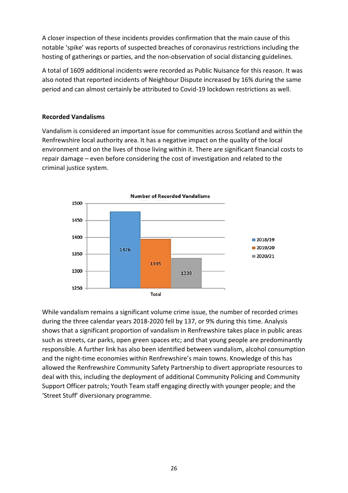A closer inspection of these incidents provides confirmation that the main cause of this notable 'spike' was reports of suspected breaches of coronavirus restrictions including the hosting of gatherings or parties, and the non‐observation of social distancing guidelines.

A total of 1609 additional incidents were recorded as Public Nuisance for this reason. It was also noted that reported incidents of Neighbour Dispute increased by 16% during the same period and can almost certainly be attributed to Covid‐19 lockdown restrictions as well.

#### **Recorded Vandalisms**

Vandalism is considered an important issue for communities across Scotland and within the Renfrewshire local authority area. It has a negative impact on the quality of the local environment and on the lives of those living within it. There are significant financial costs to repair damage – even before considering the cost of investigation and related to the criminal justice system.



While vandalism remains a significant volume crime issue, the number of recorded crimes during the three calendar years 2018‐2020 fell by 137, or 9% during this time. Analysis shows that a significant proportion of vandalism in Renfrewshire takes place in public areas such as streets, car parks, open green spaces etc; and that young people are predominantly responsible. A further link has also been identified between vandalism, alcohol consumption and the night-time economies within Renfrewshire's main towns. Knowledge of this has allowed the Renfrewshire Community Safety Partnership to divert appropriate resources to deal with this, including the deployment of additional Community Policing and Community Support Officer patrols; Youth Team staff engaging directly with younger people; and the 'Street Stuff' diversionary programme.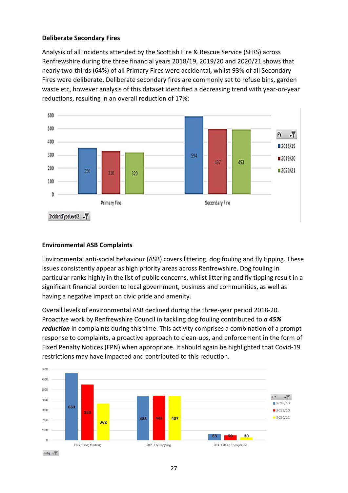#### **Deliberate Secondary Fires**

Analysis of all incidents attended by the Scottish Fire & Rescue Service (SFRS) across Renfrewshire during the three financial years 2018/19, 2019/20 and 2020/21 shows that nearly two-thirds (64%) of all Primary Fires were accidental, whilst 93% of all Secondary Fires were deliberate. Deliberate secondary fires are commonly set to refuse bins, garden waste etc, however analysis of this dataset identified a decreasing trend with year‐on‐year reductions, resulting in an overall reduction of 17%:



#### **Environmental ASB Complaints**

Environmental anti‐social behaviour (ASB) covers littering, dog fouling and fly tipping. These issues consistently appear as high priority areas across Renfrewshire. Dog fouling in particular ranks highly in the list of public concerns, whilst littering and fly tipping result in a significant financial burden to local government, business and communities, as well as having a negative impact on civic pride and amenity.

Overall levels of environmental ASB declined during the three‐year period 2018‐20. Proactive work by Renfrewshire Council in tackling dog fouling contributed to *a 45% reduction* in complaints during this time. This activity comprises a combination of a prompt response to complaints, a proactive approach to clean‐ups, and enforcement in the form of Fixed Penalty Notices (FPN) when appropriate. It should again be highlighted that Covid‐19 restrictions may have impacted and contributed to this reduction.

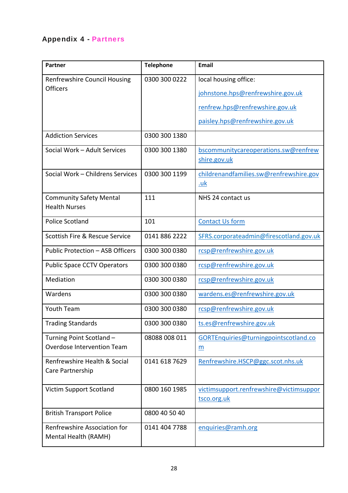### Appendix 4 - Partners

| <b>Partner</b>                      | <b>Telephone</b> | <b>Email</b>                            |
|-------------------------------------|------------------|-----------------------------------------|
| <b>Renfrewshire Council Housing</b> | 0300 300 0222    | local housing office:                   |
| <b>Officers</b>                     |                  | johnstone.hps@renfrewshire.gov.uk       |
|                                     |                  | renfrew.hps@renfrewshire.gov.uk         |
|                                     |                  | paisley.hps@renfrewshire.gov.uk         |
| <b>Addiction Services</b>           | 0300 300 1380    |                                         |
| Social Work - Adult Services        | 0300 300 1380    | bscommunitycareoperations.sw@renfrew    |
|                                     |                  | shire.gov.uk                            |
| Social Work - Childrens Services    | 0300 300 1199    | childrenandfamilies.sw@renfrewshire.gov |
|                                     |                  | <u>.uk</u>                              |
| <b>Community Safety Mental</b>      | 111              | NHS 24 contact us                       |
| <b>Health Nurses</b>                |                  |                                         |
| <b>Police Scotland</b>              | 101              | <b>Contact Us form</b>                  |
| Scottish Fire & Rescue Service      | 0141 886 2222    | SFRS.corporateadmin@firescotland.gov.uk |
| Public Protection - ASB Officers    | 0300 300 0380    | rcsp@renfrewshire.gov.uk                |
| <b>Public Space CCTV Operators</b>  | 0300 300 0380    | rcsp@renfrewshire.gov.uk                |
| Mediation                           | 0300 300 0380    | rcsp@renfrewshire.gov.uk                |
| Wardens                             | 0300 300 0380    | wardens.es@renfrewshire.gov.uk          |
| <b>Youth Team</b>                   | 0300 300 0380    | rcsp@renfrewshire.gov.uk                |
| <b>Trading Standards</b>            | 0300 300 0380    | ts.es@renfrewshire.gov.uk               |
| Turning Point Scotland -            | 08088 008 011    | GORTEnquiries@turningpointscotland.co   |
| Overdose Intervention Team          |                  | $\underline{\mathsf{m}}$                |
| Renfrewshire Health & Social        | 0141 618 7629    | Renfrewshire.HSCP@ggc.scot.nhs.uk       |
| Care Partnership                    |                  |                                         |
| <b>Victim Support Scotland</b>      | 0800 160 1985    | victimsupport.renfrewshire@victimsuppor |
|                                     |                  | tsco.org.uk                             |
| <b>British Transport Police</b>     | 0800 40 50 40    |                                         |
| Renfrewshire Association for        | 0141 404 7788    | enquiries@ramh.org                      |
| Mental Health (RAMH)                |                  |                                         |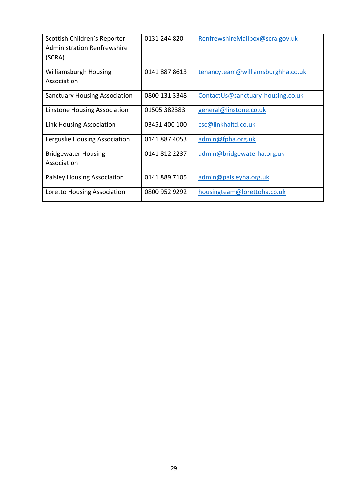| Scottish Children's Reporter<br><b>Administration Renfrewshire</b><br>(SCRA) | 0131 244 820  | RenfrewshireMailbox@scra.gov.uk   |
|------------------------------------------------------------------------------|---------------|-----------------------------------|
| <b>Williamsburgh Housing</b><br>Association                                  | 01418878613   | tenancyteam@williamsburghha.co.uk |
| <b>Sanctuary Housing Association</b>                                         | 0800 131 3348 | ContactUs@sanctuary-housing.co.uk |
| Linstone Housing Association                                                 | 01505 382383  | general@linstone.co.uk            |
| Link Housing Association                                                     | 03451 400 100 | csc@linkhaltd.co.uk               |
| <b>Ferguslie Housing Association</b>                                         | 0141 887 4053 | admin@fpha.org.uk                 |
| <b>Bridgewater Housing</b><br>Association                                    | 0141 812 2237 | admin@bridgewaterha.org.uk        |
| <b>Paisley Housing Association</b>                                           | 0141 889 7105 | admin@paisleyha.org.uk            |
| Loretto Housing Association                                                  | 0800 952 9292 | housingteam@lorettoha.co.uk       |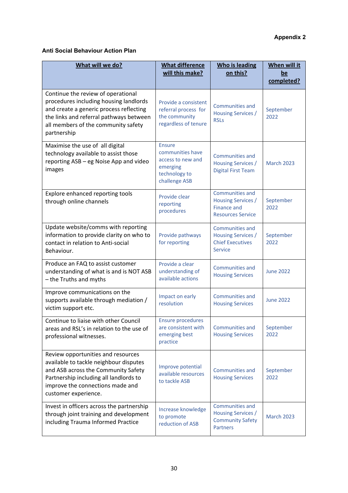#### **Anti Social Behaviour Action Plan**

| What will we do?                                                                                                                                                                                                          | <b>What difference</b><br>will this make?                                                            | <b>Who is leading</b><br>on this?                                                          | When will it<br>be<br>completed? |
|---------------------------------------------------------------------------------------------------------------------------------------------------------------------------------------------------------------------------|------------------------------------------------------------------------------------------------------|--------------------------------------------------------------------------------------------|----------------------------------|
| Continue the review of operational<br>procedures including housing landlords<br>and create a generic process reflecting<br>the links and referral pathways between<br>all members of the community safety<br>partnership  | Provide a consistent<br>referral process for<br>the community<br>regardless of tenure                | Communities and<br><b>Housing Services /</b><br><b>RSLs</b>                                | September<br>2022                |
| Maximise the use of all digital<br>technology available to assist those<br>reporting ASB - eg Noise App and video<br>images                                                                                               | <b>Ensure</b><br>communities have<br>access to new and<br>emerging<br>technology to<br>challenge ASB | Communities and<br>Housing Services /<br><b>Digital First Team</b>                         | <b>March 2023</b>                |
| Explore enhanced reporting tools<br>through online channels                                                                                                                                                               | Provide clear<br>reporting<br>procedures                                                             | Communities and<br><b>Housing Services /</b><br>Finance and<br><b>Resources Service</b>    | September<br>2022                |
| Update website/comms with reporting<br>information to provide clarity on who to<br>contact in relation to Anti-social<br>Behaviour.                                                                                       | Provide pathways<br>for reporting                                                                    | Communities and<br><b>Housing Services /</b><br><b>Chief Executives</b><br><b>Service</b>  | September<br>2022                |
| Produce an FAQ to assist customer<br>understanding of what is and is NOT ASB<br>- the Truths and myths                                                                                                                    | Provide a clear<br>understanding of<br>available actions                                             | <b>Communities and</b><br><b>Housing Services</b>                                          | <b>June 2022</b>                 |
| Improve communications on the<br>supports available through mediation /<br>victim support etc.                                                                                                                            | Impact on early<br>resolution                                                                        | <b>Communities and</b><br><b>Housing Services</b>                                          | <b>June 2022</b>                 |
| Continue to liaise with other Council<br>areas and RSL's in relation to the use of<br>professional witnesses.                                                                                                             | <b>Ensure procedures</b><br>are consistent with<br>emerging best<br>practice                         | Communities and<br><b>Housing Services</b>                                                 | September<br>2022                |
| Review opportunities and resources<br>available to tackle neighbour disputes<br>and ASB across the Community Safety<br>Partnership including all landlords to<br>improve the connections made and<br>customer experience. | Improve potential<br>available resources<br>to tackle ASB                                            | Communities and<br><b>Housing Services</b>                                                 | September<br>2022                |
| Invest in officers across the partnership<br>through joint training and development<br>including Trauma Informed Practice                                                                                                 | Increase knowledge<br>to promote<br>reduction of ASB                                                 | Communities and<br><b>Housing Services /</b><br><b>Community Safety</b><br><b>Partners</b> | <b>March 2023</b>                |